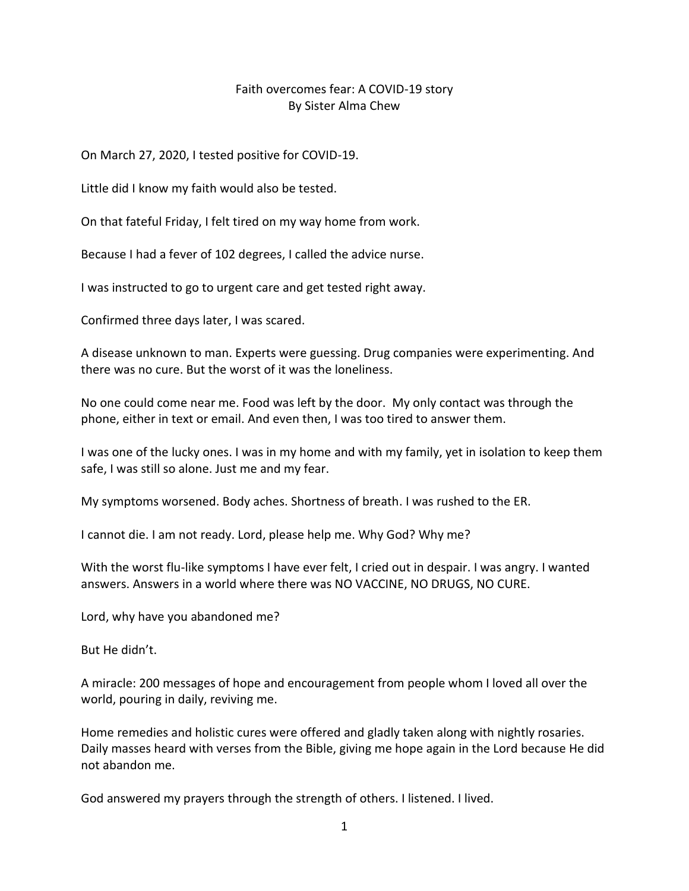## Faith overcomes fear: A COVID-19 story By Sister Alma Chew

On March 27, 2020, I tested positive for COVID-19.

Little did I know my faith would also be tested.

On that fateful Friday, I felt tired on my way home from work.

Because I had a fever of 102 degrees, I called the advice nurse.

I was instructed to go to urgent care and get tested right away.

Confirmed three days later, I was scared.

A disease unknown to man. Experts were guessing. Drug companies were experimenting. And there was no cure. But the worst of it was the loneliness.

No one could come near me. Food was left by the door. My only contact was through the phone, either in text or email. And even then, I was too tired to answer them.

I was one of the lucky ones. I was in my home and with my family, yet in isolation to keep them safe, I was still so alone. Just me and my fear.

My symptoms worsened. Body aches. Shortness of breath. I was rushed to the ER.

I cannot die. I am not ready. Lord, please help me. Why God? Why me?

With the worst flu-like symptoms I have ever felt, I cried out in despair. I was angry. I wanted answers. Answers in a world where there was NO VACCINE, NO DRUGS, NO CURE.

Lord, why have you abandoned me?

But He didn't.

A miracle: 200 messages of hope and encouragement from people whom I loved all over the world, pouring in daily, reviving me.

Home remedies and holistic cures were offered and gladly taken along with nightly rosaries. Daily masses heard with verses from the Bible, giving me hope again in the Lord because He did not abandon me.

God answered my prayers through the strength of others. I listened. I lived.